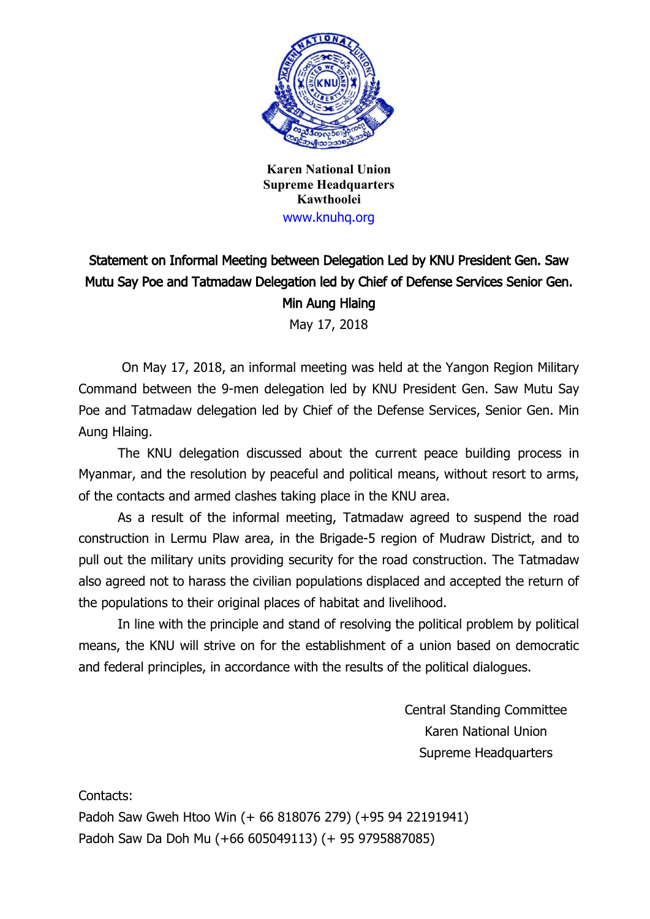

**Karen National Union Supreme Headquarters Kawthoolei** www.knuhq.org

## Statement on Informal Meeting between Delegation Led by KNU President Gen. Saw Mutu Say Poe and Tatmadaw Delegation led by Chief of Defense Services Senior Gen. Min Aung Hlaing

May 17, 2018

On May 17, 2018, an informal meeting was held at the Yangon Region Military Command between the 9-men delegation led by KNU President Gen. Saw Mutu Say Poe and Tatmadaw delegation led by Chief of the Defense Services, Senior Gen. Min Aung Hlaing.

The KNU delegation discussed about the current peace building process in Myanmar, and the resolution by peaceful and political means, without resort to arms, of the contacts and armed clashes taking place in the KNU area.

As a result of the informal meeting, Tatmadaw agreed to suspend the road construction in Lermu Plaw area, in the Brigade-5 region of Mudraw District, and to pull out the military units providing security for the road construction. The Tatmadaw also agreed not to harass the civilian populations displaced and accepted the return of the populations to their original places of habitat and livelihood.

In line with the principle and stand of resolving the political problem by political means, the KNU will strive on for the establishment of a union based on democratic and federal principles, in accordance with the results of the political dialogues.

> Central Standing Committee Karen National Union Supreme Headquarters

Contacts:

Padoh Saw Gweh Htoo Win (+ 66 818076 279) (+95 94 22191941) Padoh Saw Da Doh Mu (+66 605049113) (+ 95 9795887085)